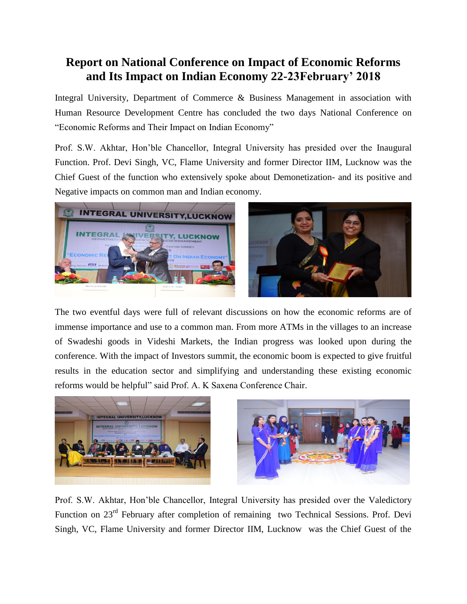## **Report on National Conference on Impact of Economic Reforms and Its Impact on Indian Economy 22-23February' 2018**

Integral University, Department of Commerce & Business Management in association with Human Resource Development Centre has concluded the two days National Conference on "Economic Reforms and Their Impact on Indian Economy"

Prof. S.W. Akhtar, Hon'ble Chancellor, Integral University has presided over the Inaugural Function. Prof. Devi Singh, VC, Flame University and former Director IIM, Lucknow was the Chief Guest of the function who extensively spoke about Demonetization- and its positive and Negative impacts on common man and Indian economy.



The two eventful days were full of relevant discussions on how the economic reforms are of immense importance and use to a common man. From more ATMs in the villages to an increase of Swadeshi goods in Videshi Markets, the Indian progress was looked upon during the conference. With the impact of Investors summit, the economic boom is expected to give fruitful results in the education sector and simplifying and understanding these existing economic reforms would be helpful" said Prof. A. K Saxena Conference Chair.



Prof. S.W. Akhtar, Hon'ble Chancellor, Integral University has presided over the Valedictory Function on 23<sup>rd</sup> February after completion of remaining two Technical Sessions. Prof. Devi Singh, VC, Flame University and former Director IIM, Lucknow was the Chief Guest of the